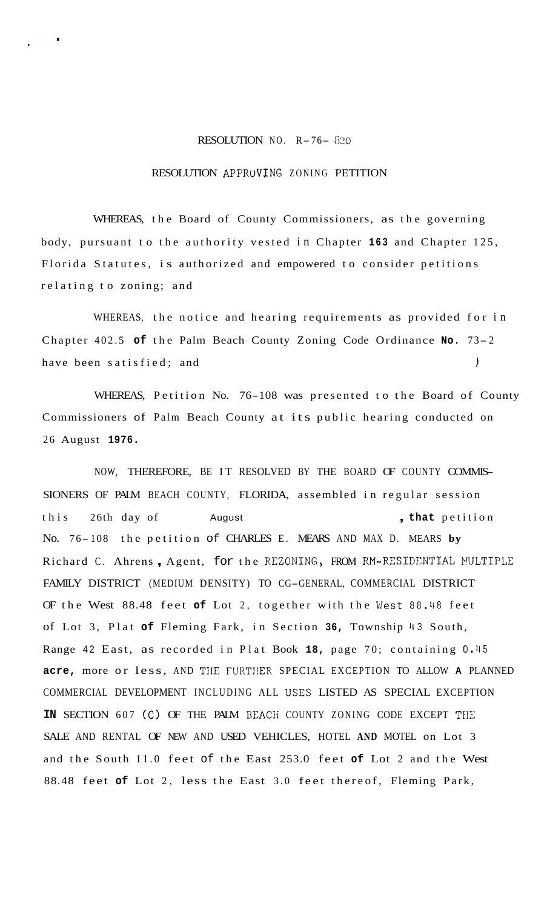## RESOLUTION NO. R- 76- *<sup>620</sup>*

## RESOLUTION APPRUVLNG ZONING PETITION

WHEREAS, the Board of County Commissioners, as the governing body, pursuant to the authority vested in Chapter **163** and Chapter 125, Florida Statutes, is authorized and empowered to consider petitions relating to zoning; and

WHEREAS, the notice and hearing requirements as provided for in Chapter 402.5 **of** the Palm Beach County Zoning Code Ordinance **No.** 73- <sup>2</sup> have been satisfied; and I

WHEREAS, Petition No. 76-108 was presented to the Board of County Commissioners of Palm Beach County at its public hearing conducted on 26 August **1976.** 

NOW, THEREFORE, BE IT RESOLVED BY THE BOARD OF COUNTY COMMIS-SIONERS OF PALM BEACH COUNTY, FLORIDA, assembled in regular session this 26th day of August **that** petition No. 76- 108 the petition of CHARLES E. MEARS AND MAX D. MEARS **by**  Richard C. Ahrens, Agent, for the REZONING, FROM RM-RESIDENTIAL MULTIPLE FAMILY DISTRICT (MEDIUM DENSITY) TO CG-GENERAL, COMMERCIAL DISTRICT OF the West 88.48 feet of Lot 2, together with the West 88.48 feet of Lot 3, Plat **of** Fleming Fark, in Section **36,** Township 43 South, Range 42 East, as recorded in Plat Book **18,** page 70; containing 0.45 acre, more or less, AND THE FURTHER SPECIAL EXCEPTION TO ALLOW A PLANNED COMMERCIAL DEVELOPMENT INCLUDING ALL USES LISTED AS SPECIAL EXCEPTION **IN** SECTION 607 (C) OF THE PALM BEACH COUNTY ZONING CODE EXCEPT THE SALE AND RENTAL OF NEW AND USED VEHICLES, HOTEL **AND** MOTEL on Lot 3 and the South 11.0 feet of the East 253.0 feet **of** Lot 2 and the West 88.48 feet **of** Lot 2, less the East 3.0 feet thereof, Fleming Park,